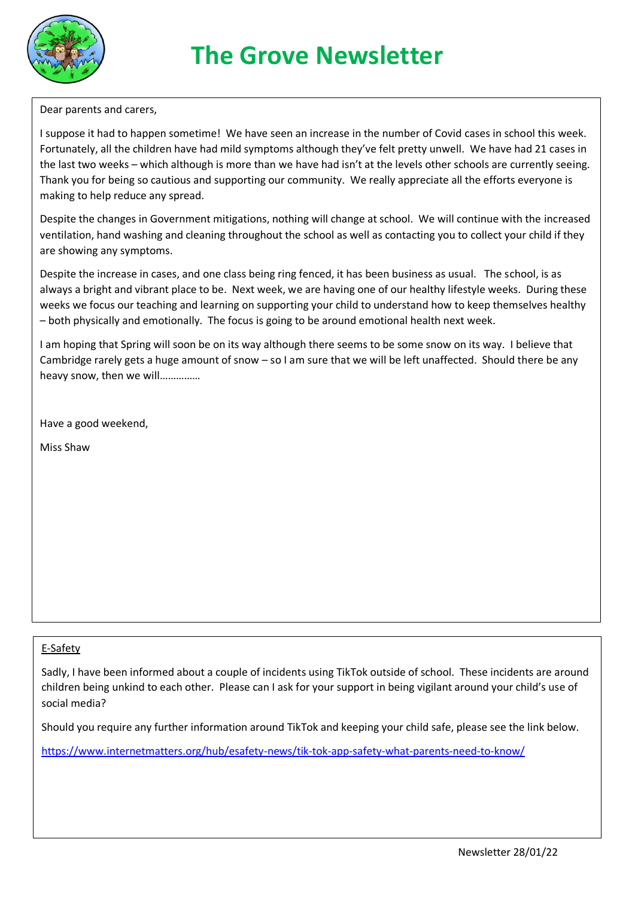

# **The Grove Newsletter**

Dear parents and carers,

I suppose it had to happen sometime! We have seen an increase in the number of Covid cases in school this week. Fortunately, all the children have had mild symptoms although they've felt pretty unwell. We have had 21 cases in the last two weeks – which although is more than we have had isn't at the levels other schools are currently seeing. Thank you for being so cautious and supporting our community. We really appreciate all the efforts everyone is making to help reduce any spread.

Despite the changes in Government mitigations, nothing will change at school. We will continue with the increased ventilation, hand washing and cleaning throughout the school as well as contacting you to collect your child if they are showing any symptoms.

Despite the increase in cases, and one class being ring fenced, it has been business as usual. The school, is as always a bright and vibrant place to be. Next week, we are having one of our healthy lifestyle weeks. During these weeks we focus our teaching and learning on supporting your child to understand how to keep themselves healthy – both physically and emotionally. The focus is going to be around emotional health next week.

I am hoping that Spring will soon be on its way although there seems to be some snow on its way. I believe that Cambridge rarely gets a huge amount of snow – so I am sure that we will be left unaffected. Should there be any heavy snow, then we will……………

Have a good weekend,

Miss Shaw

#### E-Safety

Sadly, I have been informed about a couple of incidents using TikTok outside of school. These incidents are around children being unkind to each other. Please can I ask for your support in being vigilant around your child's use of social media?

Should you require any further information around TikTok and keeping your child safe, please see the link below.

<https://www.internetmatters.org/hub/esafety-news/tik-tok-app-safety-what-parents-need-to-know/>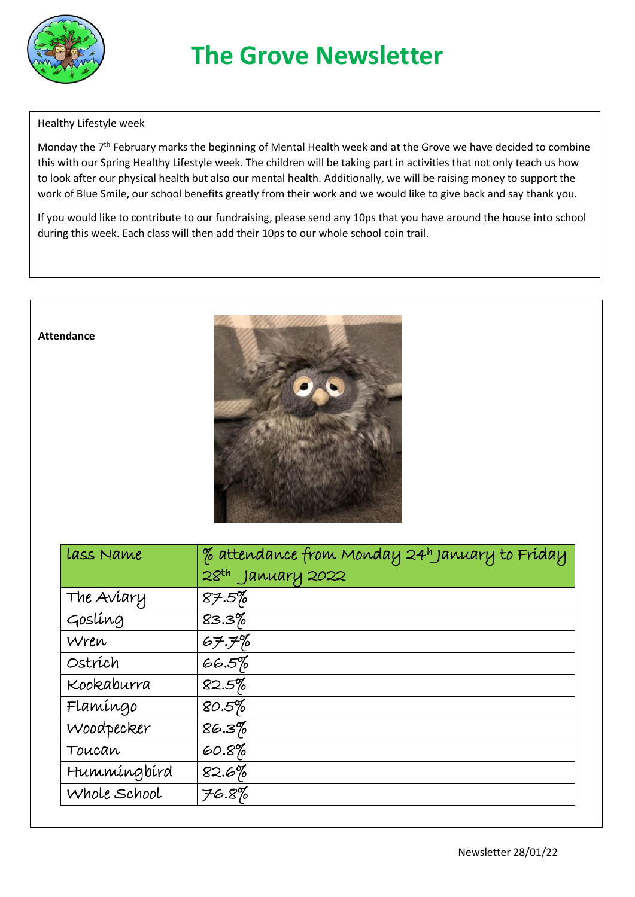

# **The Grove Newsletter**

#### Healthy Lifestyle week

Monday the 7<sup>th</sup> February marks the beginning of Mental Health week and at the Grove we have decided to combine this with our Spring Healthy Lifestyle week. The children will be taking part in activities that not only teach us how to look after our physical health but also our mental health. Additionally, we will be raising money to support the work of Blue Smile, our school benefits greatly from their work and we would like to give back and say thank you.

If you would like to contribute to our fundraising, please send any 10ps that you have around the house into school during this week. Each class will then add their 10ps to our whole school coin trail.



| Lass Name    | % attendance from Monday 24h January to Friday |
|--------------|------------------------------------------------|
|              | $28th$ January 2022                            |
| The Aviary   | 87.5%                                          |
| Goslíng      | $83.3\%$                                       |
| Wren         | 67.7%                                          |
| Ostrích      | $66.5\%$                                       |
| Kookaburra   | 82.5%                                          |
| Flamíngo     | 80.5%                                          |
| Woodpecker   | 86.3%                                          |
| Toucan       | 60.8%                                          |
| Hummingbird  | $82.6\%$                                       |
| Whole School | 76.8%                                          |